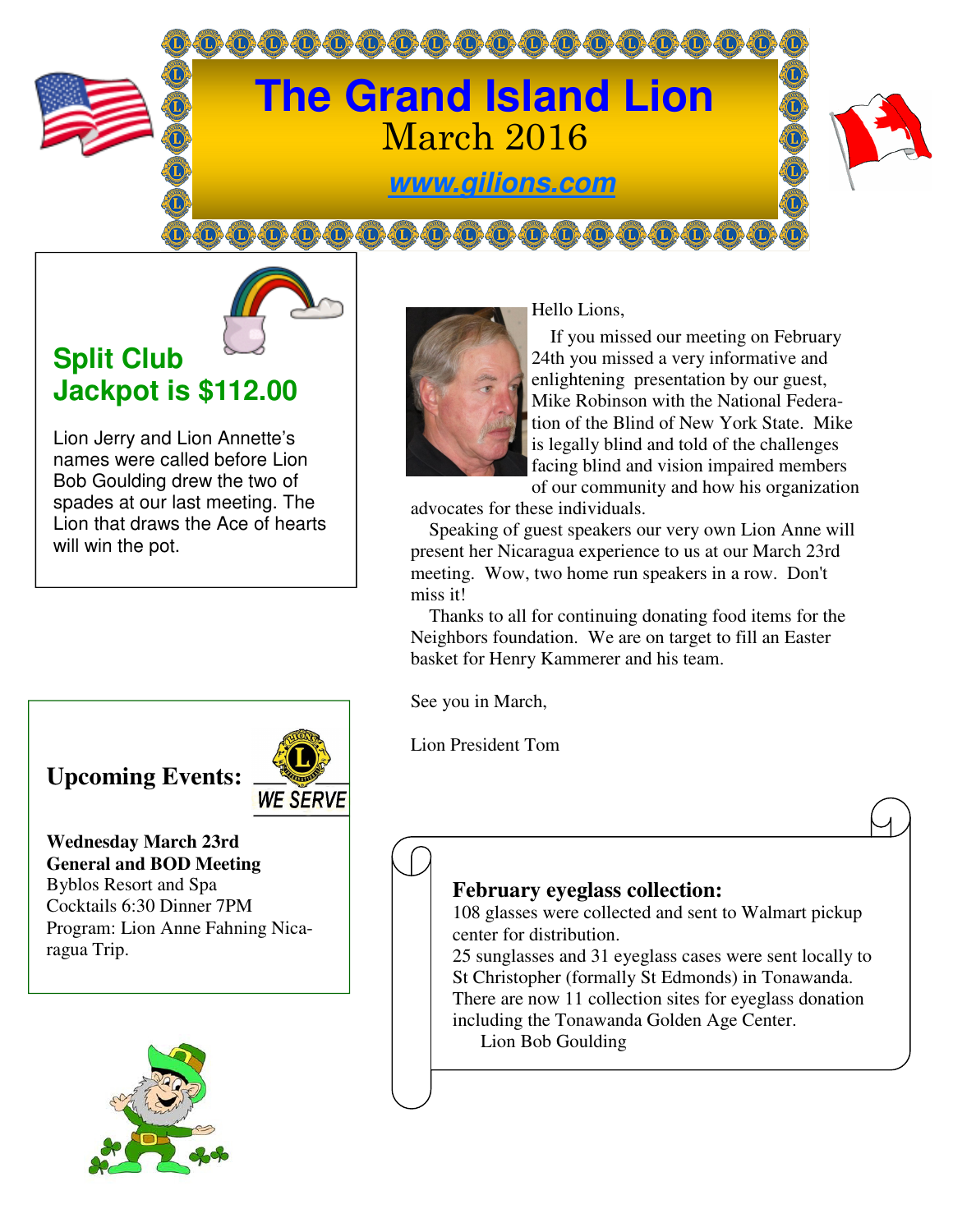

**O O O O O O O O O O O O O O** 



## **Split Club Jackpot is \$112.00**

Lion Jerry and Lion Annette's names were called before Lion Bob Goulding drew the two of spades at our last meeting. The Lion that draws the Ace of hearts will win the pot.



**Wednesday March 23rd General and BOD Meeting**  Byblos Resort and Spa Cocktails 6:30 Dinner 7PM Program: Lion Anne Fahning Nicaragua Trip.



Hello Lions,



of our community and how his organization advocates for these individuals.

 Speaking of guest speakers our very own Lion Anne will present her Nicaragua experience to us at our March 23rd meeting. Wow, two home run speakers in a row. Don't miss it!

 Thanks to all for continuing donating food items for the Neighbors foundation. We are on target to fill an Easter basket for Henry Kammerer and his team.

See you in March,

Lion President Tom

## **February eyeglass collection:**

108 glasses were collected and sent to Walmart pickup center for distribution.

25 sunglasses and 31 eyeglass cases were sent locally to St Christopher (formally St Edmonds) in Tonawanda. There are now 11 collection sites for eyeglass donation including the Tonawanda Golden Age Center. Lion Bob Goulding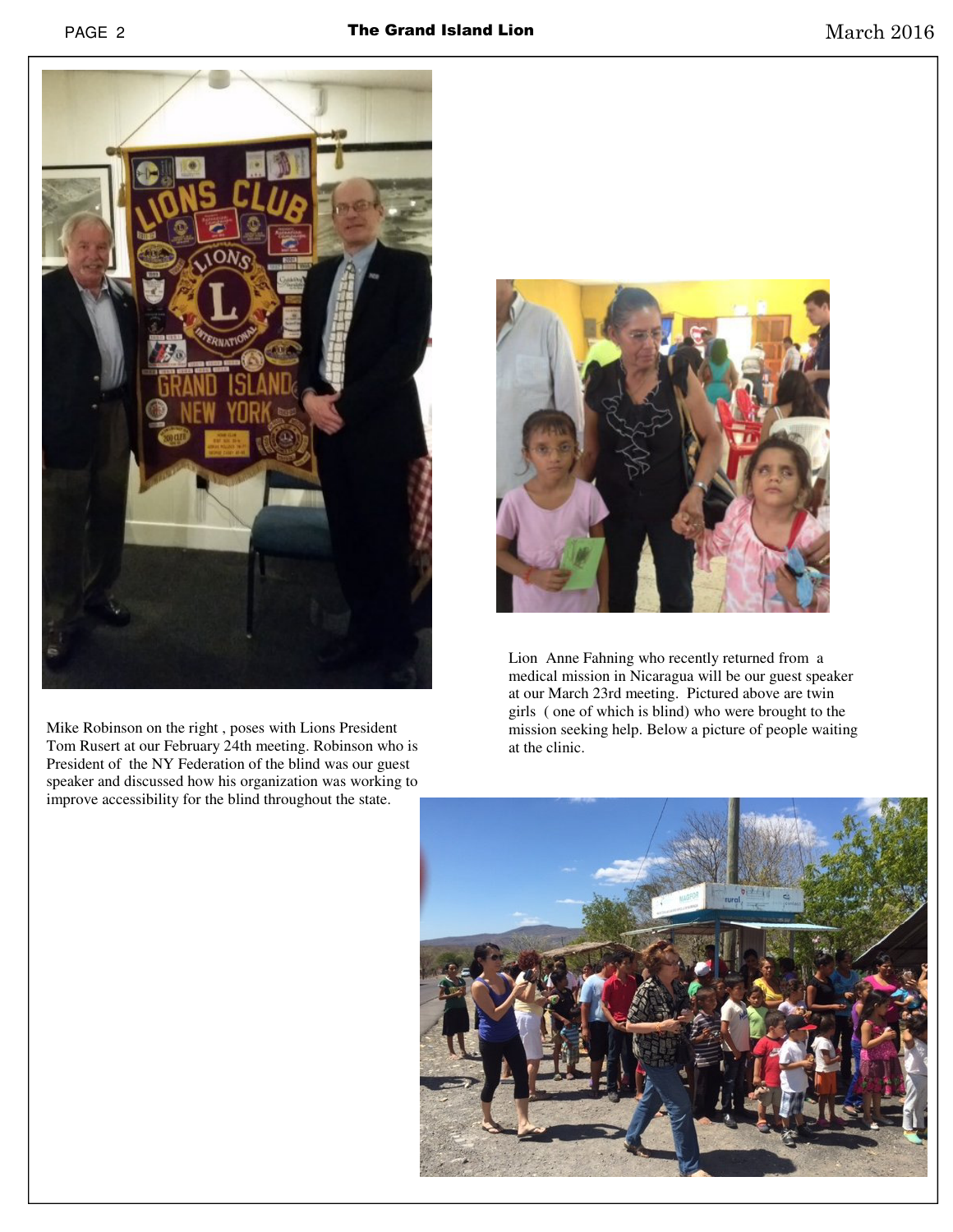

Mike Robinson on the right , poses with Lions President Tom Rusert at our February 24th meeting. Robinson who is President of the NY Federation of the blind was our guest speaker and discussed how his organization was working to improve accessibility for the blind throughout the state.



Lion Anne Fahning who recently returned from a medical mission in Nicaragua will be our guest speaker at our March 23rd meeting. Pictured above are twin girls ( one of which is blind) who were brought to the mission seeking help. Below a picture of people waiting at the clinic.

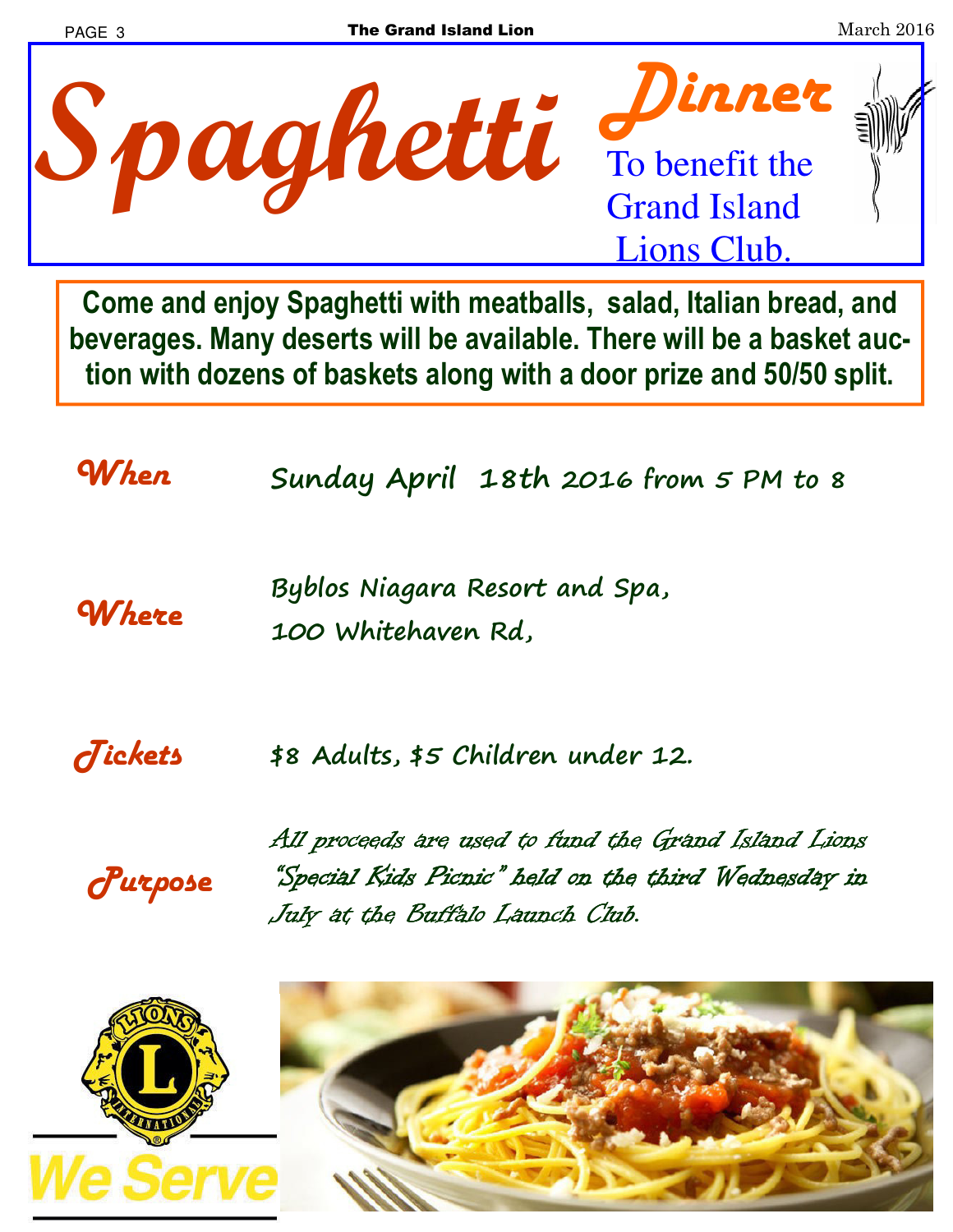

**Come and enjoy Spaghetti with meatballs, salad, Italian bread, and beverages. Many deserts will be available. There will be a basket auction with dozens of baskets along with a door prize and 50/50 split.** 

*When* **Sunday April 18th 2016 from 5 PM to 8** 

*Where* **Byblos Niagara Resort and Spa, 100 Whitehaven Rd,** 

*Tickets* **\$8 Adults, \$5 Children under 12.** 

*Purpose* 

All proceeds are used to fund the Grand Island Lions "Special Kids Picnic" held on the third Wednesday in July at the Buffalo Launch Club.